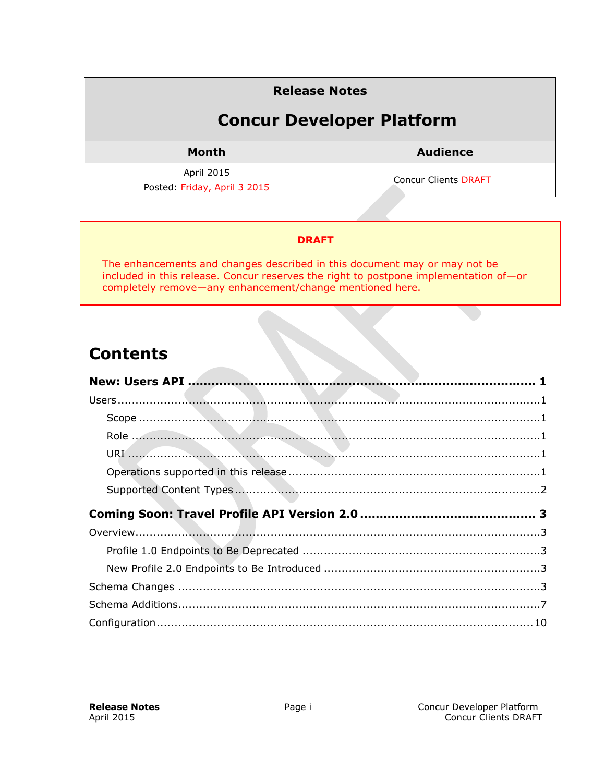### **Release Notes Concur Developer Platform Month Audience** April 2015 Posted: Friday, April 3 2015 Concur Clients DRAFT

#### **DRAFT**

The enhancements and changes described in this document may or may not be included in this release. Concur reserves the right to postpone implementation of—or completely remove—any enhancement/change mentioned here.

### **Contents**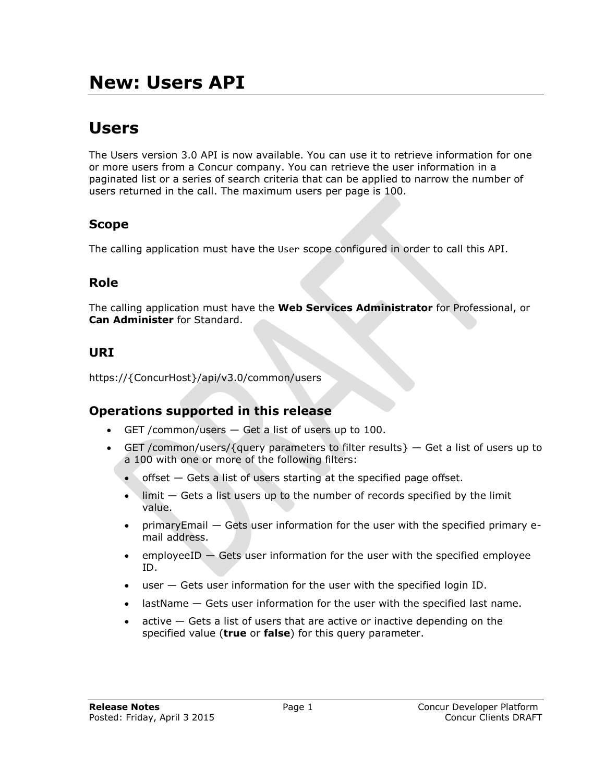## <span id="page-1-1"></span><span id="page-1-0"></span>**Users**

The Users version 3.0 API is now available. You can use it to retrieve information for one or more users from a Concur company. You can retrieve the user information in a paginated list or a series of search criteria that can be applied to narrow the number of users returned in the call. The maximum users per page is 100.

### <span id="page-1-2"></span>**Scope**

<span id="page-1-3"></span>The calling application must have the User scope configured in order to call this API.

#### **Role**

The calling application must have the **Web Services Administrator** for Professional, or **Can Administer** for Standard.

### <span id="page-1-4"></span>**URI**

<span id="page-1-5"></span>https://{ConcurHost}/api/v3.0/common/users

#### **Operations supported in this release**

- GET / common/users  $-$  Get a list of users up to 100.
- GET /common/users/{query parameters to filter results}  $-$  Get a list of users up to a 100 with one or more of the following filters:
	- $\bullet$  offset  $-$  Gets a list of users starting at the specified page offset.
	- $\bullet$  limit  $-$  Gets a list users up to the number of records specified by the limit value.
	- primaryEmail Gets user information for the user with the specified primary email address.
	- **employeeID**  $-$  **Gets user information for the user with the specified employee** ID.
	- user Gets user information for the user with the specified login ID.
	- lastName Gets user information for the user with the specified last name.
	- $\bullet$  active  $-$  Gets a list of users that are active or inactive depending on the specified value (**true** or **false**) for this query parameter.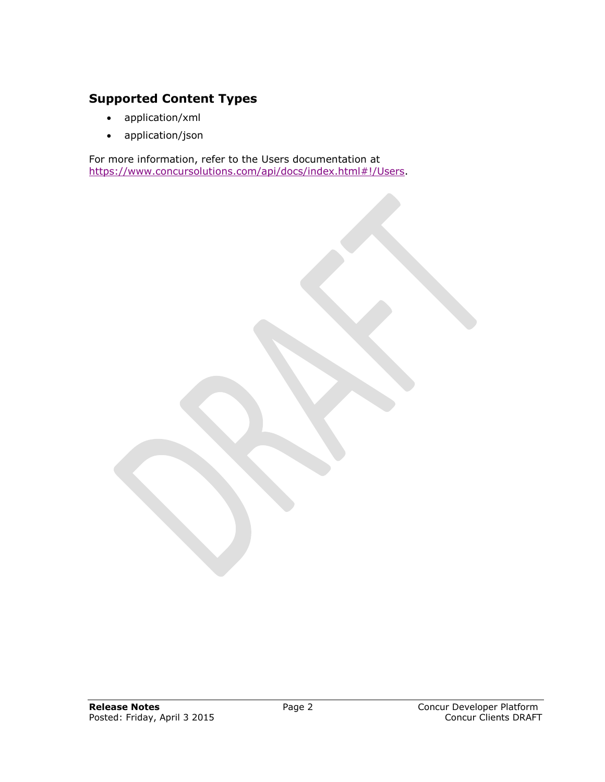#### <span id="page-2-0"></span>**Supported Content Types**

- application/xml
- application/json

For more information, refer to the Users documentation at [https://www.concursolutions.com/api/docs/index.html#!/Users.](https://www.concursolutions.com/api/docs/index.html#!/Users)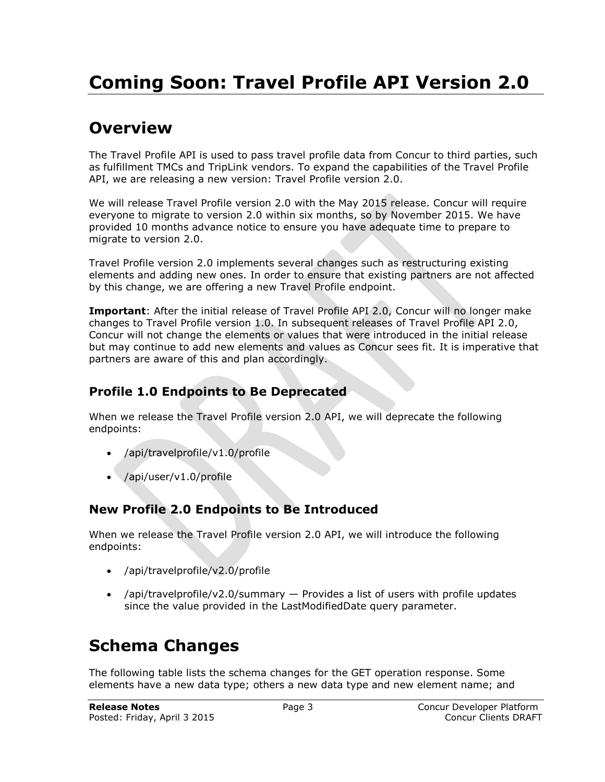## <span id="page-3-1"></span><span id="page-3-0"></span>**Overview**

The Travel Profile API is used to pass travel profile data from Concur to third parties, such as fulfillment TMCs and TripLink vendors. To expand the capabilities of the Travel Profile API, we are releasing a new version: Travel Profile version 2.0.

We will release Travel Profile version 2.0 with the May 2015 release. Concur will require everyone to migrate to version 2.0 within six months, so by November 2015. We have provided 10 months advance notice to ensure you have adequate time to prepare to migrate to version 2.0.

Travel Profile version 2.0 implements several changes such as restructuring existing elements and adding new ones. In order to ensure that existing partners are not affected by this change, we are offering a new Travel Profile endpoint.

**Important**: After the initial release of Travel Profile API 2.0, Concur will no longer make changes to Travel Profile version 1.0. In subsequent releases of Travel Profile API 2.0, Concur will not change the elements or values that were introduced in the initial release but may continue to add new elements and values as Concur sees fit. It is imperative that partners are aware of this and plan accordingly.

#### <span id="page-3-2"></span>**Profile 1.0 Endpoints to Be Deprecated**

When we release the Travel Profile version 2.0 API, we will deprecate the following endpoints:

- /api/travelprofile/v1.0/profile
- /api/user/v1.0/profile

#### <span id="page-3-3"></span>**New Profile 2.0 Endpoints to Be Introduced**

When we release the Travel Profile version 2.0 API, we will introduce the following endpoints:

- /api/travelprofile/v2.0/profile
- /api/travelprofile/v2.0/summary Provides a list of users with profile updates since the value provided in the LastModifiedDate query parameter.

## <span id="page-3-4"></span>**Schema Changes**

The following table lists the schema changes for the GET operation response. Some elements have a new data type; others a new data type and new element name; and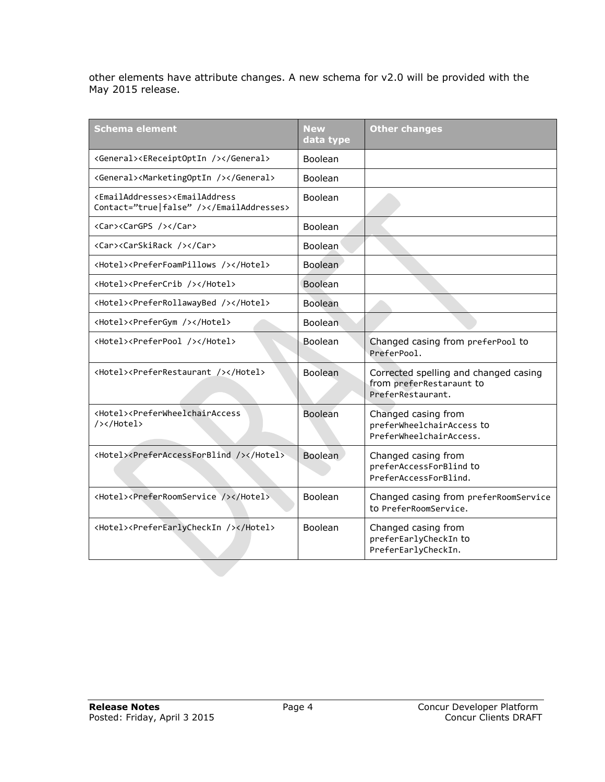other elements have attribute changes. A new schema for v2.0 will be provided with the May 2015 release.

| <b>Schema element</b>                                                                          | <b>New</b><br>data type | <b>Other changes</b>                                                                   |
|------------------------------------------------------------------------------------------------|-------------------------|----------------------------------------------------------------------------------------|
| <general><ereceiptoptin></ereceiptoptin></general>                                             | Boolean                 |                                                                                        |
| <general><marketingoptin></marketingoptin></general>                                           | Boolean                 |                                                                                        |
| <emailaddresses><emailaddress<br>Contact="true false" /&gt;</emailaddress<br></emailaddresses> | Boolean                 |                                                                                        |
| <car><cargps></cargps></car>                                                                   | <b>Boolean</b>          |                                                                                        |
| <car><carskirack></carskirack></car>                                                           | Boolean                 |                                                                                        |
| <hotel><preferfoampillows></preferfoampillows></hotel>                                         | Boolean                 |                                                                                        |
| <hotel><prefercrib></prefercrib></hotel>                                                       | Boolean                 |                                                                                        |
| <hotel><preferrollawaybed></preferrollawaybed></hotel>                                         | <b>Boolean</b>          |                                                                                        |
| <hotel><prefergym></prefergym></hotel>                                                         | <b>Boolean</b>          |                                                                                        |
| <hotel><preferpool></preferpool></hotel>                                                       | Boolean                 | Changed casing from preferPool to<br>PreferPool.                                       |
| <hotel><preferrestaurant></preferrestaurant></hotel>                                           | Boolean                 | Corrected spelling and changed casing<br>from preferRestaraunt to<br>PreferRestaurant. |
| <hotel><preferwheelchairaccess<br>/&gt;</preferwheelchairaccess<br></hotel>                    | Boolean                 | Changed casing from<br>preferWheelchairAccess to<br>PreferWheelchairAccess.            |
| <hotel><preferaccessforblind></preferaccessforblind></hotel>                                   | Boolean                 | Changed casing from<br>preferAccessForBlind to<br>PreferAccessForBlind.                |
| <hotel><preferroomservice></preferroomservice></hotel>                                         | Boolean                 | Changed casing from preferRoomService<br>to PreferRoomService.                         |
| <hotel><preferearlycheckin></preferearlycheckin></hotel>                                       | Boolean                 | Changed casing from<br>preferEarlyCheckIn to<br>PreferEarlyCheckIn.                    |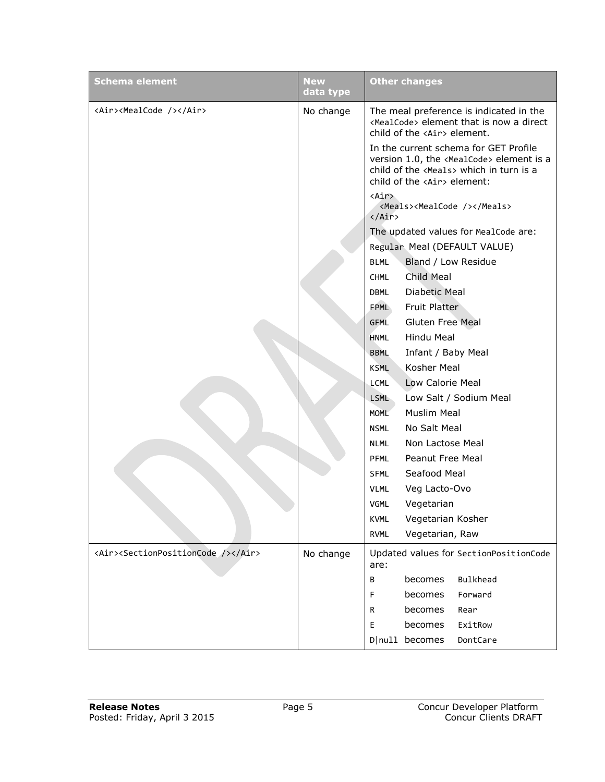| <b>Schema element</b>                                  | <b>New</b><br>data type | <b>Other changes</b>                                                                                                                                                                   |
|--------------------------------------------------------|-------------------------|----------------------------------------------------------------------------------------------------------------------------------------------------------------------------------------|
| <air><mealcode></mealcode></air>                       | No change               | The meal preference is indicated in the<br><mealcode> element that is now a direct<br/>child of the <air> element.</air></mealcode>                                                    |
|                                                        |                         | In the current schema for GET Profile<br>version 1.0, the <mealcode> element is a<br/>child of the <meals> which in turn is a<br/>child of the <air> element:</air></meals></mealcode> |
|                                                        |                         | <air><br/><meals><mealcode></mealcode></meals><br/><math>\langle</math>/Air&gt;</air>                                                                                                  |
|                                                        |                         | The updated values for MealCode are:                                                                                                                                                   |
|                                                        |                         | Regular Meal (DEFAULT VALUE)                                                                                                                                                           |
|                                                        |                         | Bland / Low Residue<br><b>BLML</b>                                                                                                                                                     |
|                                                        |                         | Child Meal<br><b>CHML</b>                                                                                                                                                              |
|                                                        |                         | Diabetic Meal<br>DBML                                                                                                                                                                  |
|                                                        |                         | <b>Fruit Platter</b><br><b>FPML</b>                                                                                                                                                    |
|                                                        |                         | <b>Gluten Free Meal</b><br>GFML                                                                                                                                                        |
|                                                        |                         | Hindu Meal<br><b>HNML</b>                                                                                                                                                              |
|                                                        |                         | Infant / Baby Meal<br><b>BBML</b>                                                                                                                                                      |
|                                                        |                         | Kosher Meal<br><b>KSML</b>                                                                                                                                                             |
|                                                        |                         | Low Calorie Meal<br>LCML                                                                                                                                                               |
|                                                        |                         | Low Salt / Sodium Meal<br><b>LSML</b>                                                                                                                                                  |
|                                                        |                         | <b>Muslim Meal</b><br><b>MOML</b>                                                                                                                                                      |
|                                                        |                         | No Salt Meal<br><b>NSML</b>                                                                                                                                                            |
|                                                        |                         | Non Lactose Meal<br><b>NLML</b>                                                                                                                                                        |
|                                                        |                         | Peanut Free Meal<br><b>PFML</b>                                                                                                                                                        |
|                                                        |                         | Seafood Meal<br><b>SFML</b>                                                                                                                                                            |
|                                                        |                         | <b>VLML</b><br>Veg Lacto-Ovo                                                                                                                                                           |
|                                                        |                         | <b>VGML</b><br>Vegetarian                                                                                                                                                              |
|                                                        |                         | Vegetarian Kosher<br><b>KVML</b>                                                                                                                                                       |
|                                                        |                         | <b>RVML</b><br>Vegetarian, Raw                                                                                                                                                         |
| <air><sectionpositioncode></sectionpositioncode></air> | No change               | Updated values for SectionPositionCode<br>are:                                                                                                                                         |
|                                                        |                         | Bulkhead<br>becomes<br>В                                                                                                                                                               |
|                                                        |                         | becomes<br>Forward<br>F                                                                                                                                                                |
|                                                        |                         | becomes<br>R<br>Rear                                                                                                                                                                   |
|                                                        |                         | E.<br>becomes<br>ExitRow                                                                                                                                                               |
|                                                        |                         | D null becomes<br>DontCare                                                                                                                                                             |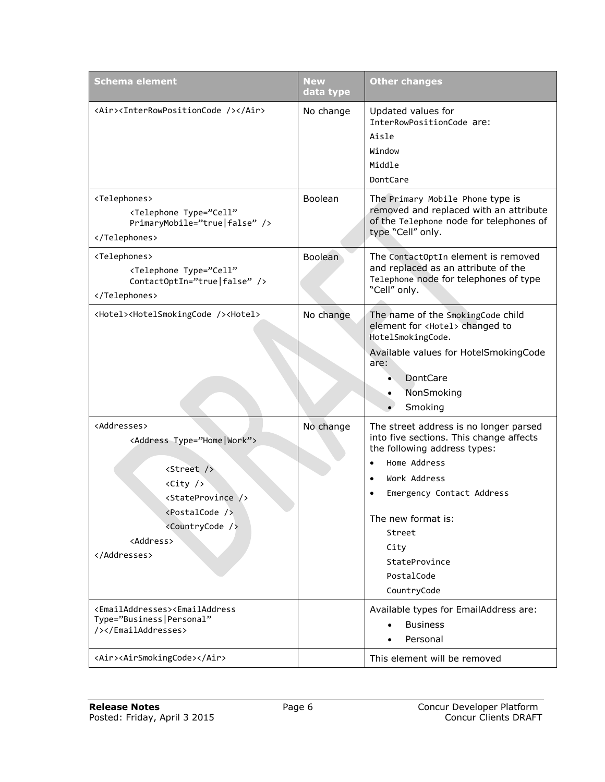| <b>Schema element</b>                                                                                                                                                                                                                                       | New<br>data type | <b>Other changes</b>                                                                                                                                                                                                                                                              |
|-------------------------------------------------------------------------------------------------------------------------------------------------------------------------------------------------------------------------------------------------------------|------------------|-----------------------------------------------------------------------------------------------------------------------------------------------------------------------------------------------------------------------------------------------------------------------------------|
| <air><interrowpositioncode></interrowpositioncode></air>                                                                                                                                                                                                    | No change        | Updated values for<br>InterRowPositionCode are:<br>Aisle<br>Window<br>Middle<br>DontCare                                                                                                                                                                                          |
| <telephones><br/><telephone <br="" type="Cell">PrimaryMobile="true false" /&gt;<br/></telephone></telephones>                                                                                                                                               | Boolean          | The Primary Mobile Phone type is<br>removed and replaced with an attribute<br>of the Telephone node for telephones of<br>type "Cell" only.                                                                                                                                        |
| <telephones><br/><telephone <br="" type="Cell">ContactOptIn="true false" /&gt;<br/></telephone></telephones>                                                                                                                                                | <b>Boolean</b>   | The ContactOptIn element is removed<br>and replaced as an attribute of the<br>Telephone node for telephones of type<br>"Cell" only.                                                                                                                                               |
| <hotel><hotelsmokingcode></hotelsmokingcode><hotel></hotel></hotel>                                                                                                                                                                                         | No change        | The name of the SmokingCode child<br>element for <hotel> changed to<br/>HotelSmokingCode.<br/>Available values for HotelSmokingCode<br/>are:<br/>DontCare<br/>NonSmoking<br/>Smoking</hotel>                                                                                      |
| <addresses><br/><address type="Home Work"><br/><street></street><br/><math>\langle City \rangle</math><br/><stateprovince></stateprovince><br/><postalcode></postalcode><br/><countrycode></countrycode><br/><address><br/></address></address></addresses> | No change        | The street address is no longer parsed<br>into five sections. This change affects<br>the following address types:<br>Home Address<br>$\bullet$<br>Work Address<br>Emergency Contact Address<br>The new format is:<br>Street<br>City<br>StateProvince<br>PostalCode<br>CountryCode |
| <emailaddresses><emailaddress<br>Type="Business Personal"<br/>/&gt;</emailaddress<br></emailaddresses>                                                                                                                                                      |                  | Available types for EmailAddress are:<br><b>Business</b><br>Personal                                                                                                                                                                                                              |
| <air><airsmokingcode></airsmokingcode></air>                                                                                                                                                                                                                |                  | This element will be removed                                                                                                                                                                                                                                                      |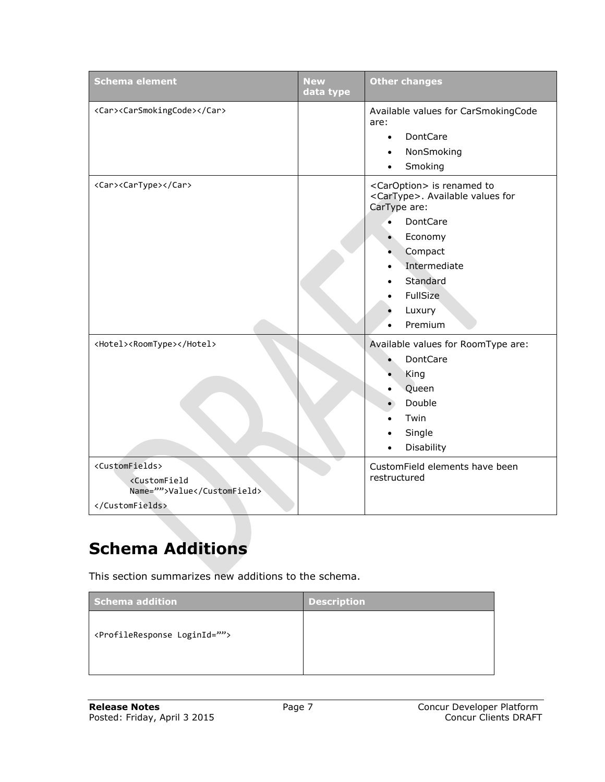| <b>Schema element</b>                                                 | <b>New</b><br>data type | <b>Other changes</b>                                                                                                                                                                                                                 |
|-----------------------------------------------------------------------|-------------------------|--------------------------------------------------------------------------------------------------------------------------------------------------------------------------------------------------------------------------------------|
| <car><carsmokingcode></carsmokingcode></car>                          |                         | Available values for CarSmokingCode<br>are:<br>DontCare<br>$\bullet$<br>NonSmoking<br>$\bullet$<br>Smoking<br>$\bullet$                                                                                                              |
| <car><cartype></cartype></car>                                        |                         | <caroption> is renamed to<br/><cartype>. Available values for<br/>CarType are:<br/>DontCare<br/><math>\bullet</math><br/>Economy<br/>Compact<br/>Intermediate<br/>Standard<br/>FullSize<br/>Luxury<br/>Premium</cartype></caroption> |
| <hotel><roomtype></roomtype></hotel><br><customfields></customfields> |                         | Available values for RoomType are:<br>DontCare<br>King<br>Queen<br>Double<br>Twin<br>Single<br>Disability<br>$\bullet$<br>CustomField elements have been                                                                             |
| <customfield<br>Name=""&gt;Value<br/></customfield<br>                |                         | restructured                                                                                                                                                                                                                         |

# <span id="page-7-0"></span>**Schema Additions**

This section summarizes new additions to the schema.

| Schema addition                                | <b>Description</b> |
|------------------------------------------------|--------------------|
| <profileresponse loginid=""></profileresponse> |                    |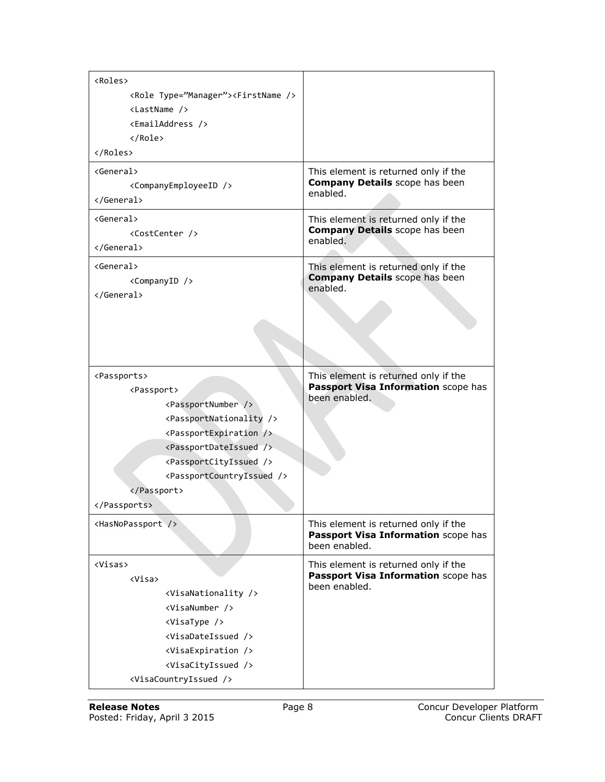| <roles></roles>                                                                                                                                                                                                                                                                                                                                 |                                                                                              |
|-------------------------------------------------------------------------------------------------------------------------------------------------------------------------------------------------------------------------------------------------------------------------------------------------------------------------------------------------|----------------------------------------------------------------------------------------------|
| <role type="Manager"><firstname></firstname></role>                                                                                                                                                                                                                                                                                             |                                                                                              |
| $\langle$ LastName $\langle \rangle$                                                                                                                                                                                                                                                                                                            |                                                                                              |
| <emailaddress></emailaddress>                                                                                                                                                                                                                                                                                                                   |                                                                                              |
| $\langle$ /Role $\rangle$                                                                                                                                                                                                                                                                                                                       |                                                                                              |
|                                                                                                                                                                                                                                                                                                                                                 |                                                                                              |
| <general><br/><companyemployeeid></companyemployeeid><br/></general>                                                                                                                                                                                                                                                                            | This element is returned only if the<br><b>Company Details</b> scope has been<br>enabled.    |
| <general><br/><costcenter></costcenter><br/></general>                                                                                                                                                                                                                                                                                          | This element is returned only if the<br><b>Company Details</b> scope has been<br>enabled.    |
| <general><br/><companyid></companyid><br/></general>                                                                                                                                                                                                                                                                                            | This element is returned only if the<br><b>Company Details</b> scope has been<br>enabled.    |
| <passports><br/><passport><br/><passportnumber></passportnumber><br/><passportnationality></passportnationality><br/><passportexpiration></passportexpiration><br/><passportdateissued></passportdateissued><br/><passportcityissued></passportcityissued><br/><passportcountryissued></passportcountryissued><br/></passport><br/></passports> | This element is returned only if the<br>Passport Visa Information scope has<br>been enabled. |
| <hasnopassport></hasnopassport>                                                                                                                                                                                                                                                                                                                 | This element is returned only if the<br>Passport Visa Information scope has<br>been enabled. |
| <visas><br/><visa><br/><visanationality></visanationality><br/><visanumber></visanumber><br/><visatype></visatype><br/><visadateissued></visadateissued><br/><visaexpiration></visaexpiration><br/><visacityissued></visacityissued><br/><visacountryissued></visacountryissued></visa></visas>                                                 | This element is returned only if the<br>Passport Visa Information scope has<br>been enabled. |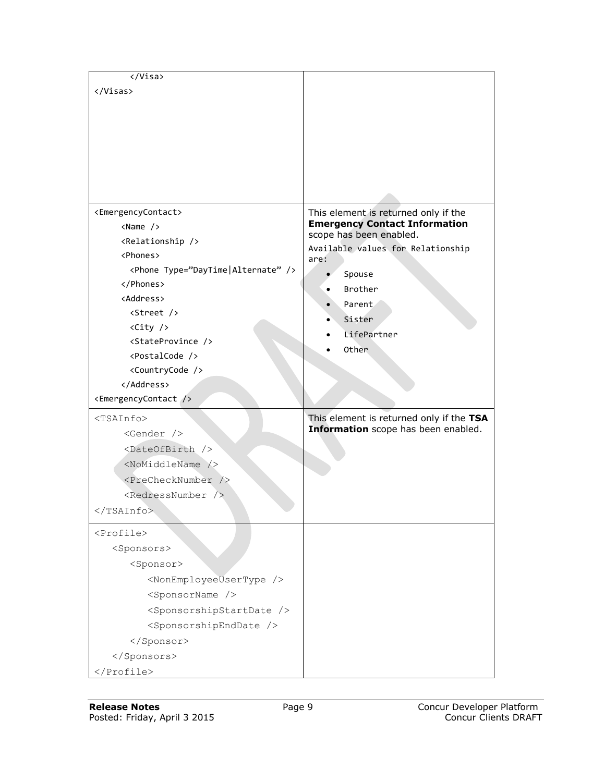| <emergencycontact></emergencycontact>         | This element is returned only if the     |
|-----------------------------------------------|------------------------------------------|
| $\langle Name \rangle$                        | <b>Emergency Contact Information</b>     |
| <relationship></relationship>                 | scope has been enabled.                  |
| <phones></phones>                             | Available values for Relationship        |
| <phone type="DayTime Alternate"></phone>      | are:                                     |
|                                               | Spouse<br>Brother                        |
| <address></address>                           |                                          |
| <street></street>                             | Parent                                   |
| <city></city>                                 | Sister                                   |
| <stateprovince></stateprovince>               | LifePartner                              |
| <postalcode></postalcode>                     | Other                                    |
| <countrycode></countrycode>                   |                                          |
|                                               |                                          |
| <emergencycontact></emergencycontact>         |                                          |
| $<$ TSAInfo $>$                               | This element is returned only if the TSA |
| $<$ Gender $/$                                | Information scope has been enabled.      |
| <dateofbirth></dateofbirth>                   |                                          |
| <nomiddlename></nomiddlename>                 |                                          |
| <prechecknumber></prechecknumber>             |                                          |
| $<$ RedressNumber $>$                         |                                          |
| $\langle$ /TSAInfo>                           |                                          |
|                                               |                                          |
| <profile></profile>                           |                                          |
| <sponsors></sponsors>                         |                                          |
| <sponsor></sponsor>                           |                                          |
| <nonemployeeusertype></nonemployeeusertype>   |                                          |
| <sponsorname></sponsorname>                   |                                          |
| <sponsorshipstartdate></sponsorshipstartdate> |                                          |
| <sponsorshipenddate></sponsorshipenddate>     |                                          |
|                                               |                                          |
|                                               |                                          |
|                                               |                                          |